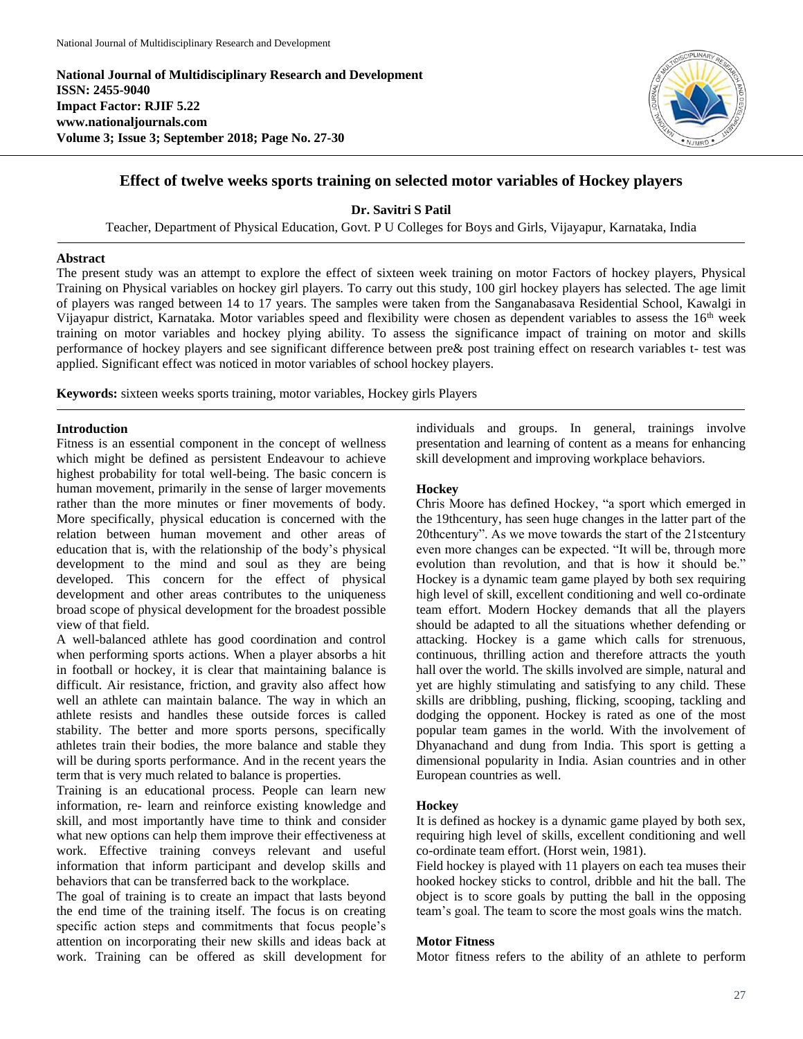**National Journal of Multidisciplinary Research and Development ISSN: 2455-9040 Impact Factor: RJIF 5.22 www.nationaljournals.com Volume 3; Issue 3; September 2018; Page No. 27-30** 



# **Effect of twelve weeks sports training on selected motor variables of Hockey players**

**Dr. Savitri S Patil** 

Teacher, Department of Physical Education, Govt. P U Colleges for Boys and Girls, Vijayapur, Karnataka, India

#### **Abstract**

The present study was an attempt to explore the effect of sixteen week training on motor Factors of hockey players, Physical Training on Physical variables on hockey girl players. To carry out this study, 100 girl hockey players has selected. The age limit of players was ranged between 14 to 17 years. The samples were taken from the Sanganabasava Residential School, Kawalgi in Vijayapur district, Karnataka. Motor variables speed and flexibility were chosen as dependent variables to assess the 16th week training on motor variables and hockey plying ability. To assess the significance impact of training on motor and skills performance of hockey players and see significant difference between pre& post training effect on research variables t- test was applied. Significant effect was noticed in motor variables of school hockey players.

**Keywords:** sixteen weeks sports training, motor variables, Hockey girls Players

### **Introduction**

Fitness is an essential component in the concept of wellness which might be defined as persistent Endeavour to achieve highest probability for total well-being. The basic concern is human movement, primarily in the sense of larger movements rather than the more minutes or finer movements of body. More specifically, physical education is concerned with the relation between human movement and other areas of education that is, with the relationship of the body's physical development to the mind and soul as they are being developed. This concern for the effect of physical development and other areas contributes to the uniqueness broad scope of physical development for the broadest possible view of that field.

A well-balanced athlete has good coordination and control when performing sports actions. When a player absorbs a hit in football or hockey, it is clear that maintaining balance is difficult. Air resistance, friction, and gravity also affect how well an athlete can maintain balance. The way in which an athlete resists and handles these outside forces is called stability. The better and more sports persons, specifically athletes train their bodies, the more balance and stable they will be during sports performance. And in the recent years the term that is very much related to balance is properties.

Training is an educational process. People can learn new information, re- learn and reinforce existing knowledge and skill, and most importantly have time to think and consider what new options can help them improve their effectiveness at work. Effective training conveys relevant and useful information that inform participant and develop skills and behaviors that can be transferred back to the workplace.

The goal of training is to create an impact that lasts beyond the end time of the training itself. The focus is on creating specific action steps and commitments that focus people's attention on incorporating their new skills and ideas back at work. Training can be offered as skill development for

individuals and groups. In general, trainings involve presentation and learning of content as a means for enhancing skill development and improving workplace behaviors.

### **Hockey**

Chris Moore has defined Hockey, "a sport which emerged in the 19thcentury, has seen huge changes in the latter part of the 20thcentury". As we move towards the start of the 21stcentury even more changes can be expected. "It will be, through more evolution than revolution, and that is how it should be." Hockey is a dynamic team game played by both sex requiring high level of skill, excellent conditioning and well co-ordinate team effort. Modern Hockey demands that all the players should be adapted to all the situations whether defending or attacking. Hockey is a game which calls for strenuous, continuous, thrilling action and therefore attracts the youth hall over the world. The skills involved are simple, natural and yet are highly stimulating and satisfying to any child. These skills are dribbling, pushing, flicking, scooping, tackling and dodging the opponent. Hockey is rated as one of the most popular team games in the world. With the involvement of Dhyanachand and dung from India. This sport is getting a dimensional popularity in India. Asian countries and in other European countries as well.

### **Hockey**

It is defined as hockey is a dynamic game played by both sex, requiring high level of skills, excellent conditioning and well co-ordinate team effort. (Horst wein, 1981).

Field hockey is played with 11 players on each tea muses their hooked hockey sticks to control, dribble and hit the ball. The object is to score goals by putting the ball in the opposing team's goal. The team to score the most goals wins the match.

### **Motor Fitness**

Motor fitness refers to the ability of an athlete to perform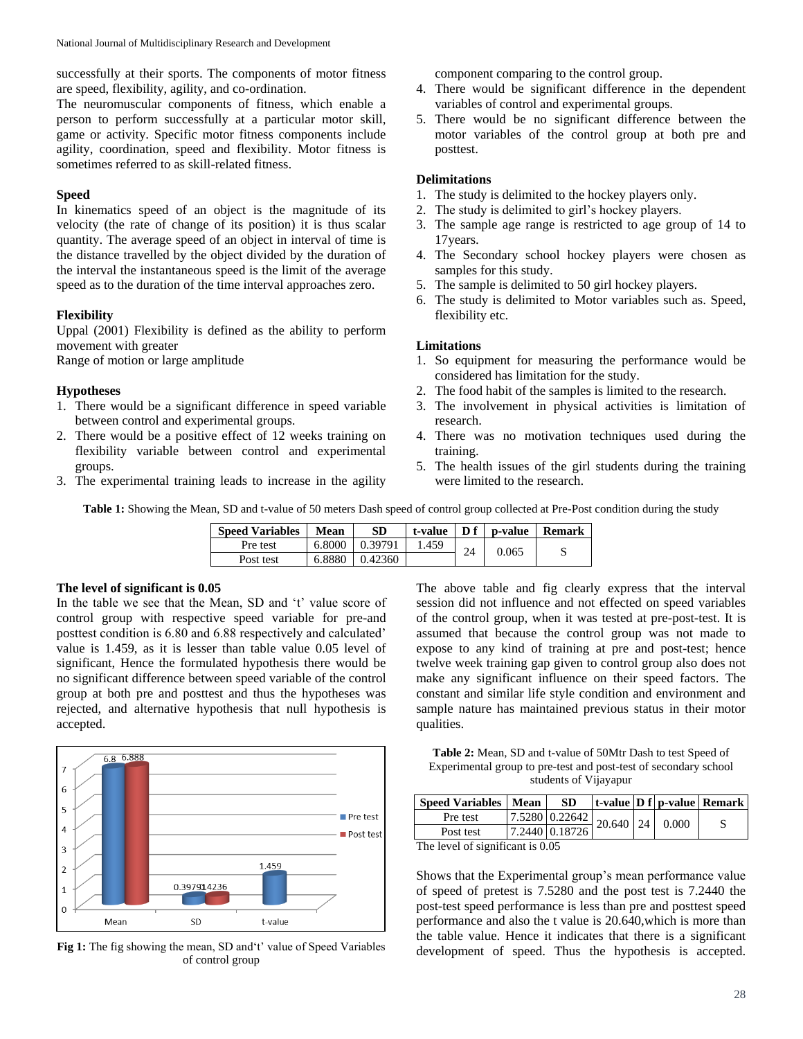successfully at their sports. The components of motor fitness are speed, flexibility, agility, and co-ordination.

The neuromuscular components of fitness, which enable a person to perform successfully at a particular motor skill, game or activity. Specific motor fitness components include agility, coordination, speed and flexibility. Motor fitness is sometimes referred to as skill-related fitness.

### **Speed**

In kinematics speed of an object is the magnitude of its velocity (the rate of change of its position) it is thus scalar quantity. The average speed of an object in interval of time is the distance travelled by the object divided by the duration of the interval the instantaneous speed is the limit of the average speed as to the duration of the time interval approaches zero.

### **Flexibility**

Uppal (2001) Flexibility is defined as the ability to perform movement with greater

Range of motion or large amplitude

### **Hypotheses**

- 1. There would be a significant difference in speed variable between control and experimental groups.
- 2. There would be a positive effect of 12 weeks training on flexibility variable between control and experimental groups.
- 3. The experimental training leads to increase in the agility

component comparing to the control group.

- 4. There would be significant difference in the dependent variables of control and experimental groups.
- 5. There would be no significant difference between the motor variables of the control group at both pre and posttest.

### **Delimitations**

- 1. The study is delimited to the hockey players only.
- 2. The study is delimited to girl's hockey players.
- 3. The sample age range is restricted to age group of 14 to 17years.
- 4. The Secondary school hockey players were chosen as samples for this study.
- 5. The sample is delimited to 50 girl hockey players.
- 6. The study is delimited to Motor variables such as. Speed, flexibility etc.

# **Limitations**

- 1. So equipment for measuring the performance would be considered has limitation for the study.
- 2. The food habit of the samples is limited to the research.
- 3. The involvement in physical activities is limitation of research.
- 4. There was no motivation techniques used during the training.
- 5. The health issues of the girl students during the training were limited to the research.

**Table 1:** Showing the Mean, SD and t-value of 50 meters Dash speed of control group collected at Pre-Post condition during the study

| <b>Speed Variables</b> | Mean   | <b>SD</b> | t-value | Df | p-value | <b>Remark</b> |
|------------------------|--------|-----------|---------|----|---------|---------------|
| Pre test               | 6.8000 | 0.39791   | 1.459   | 24 | 0.065   |               |
| Post test              | 6.8880 | 0.42360   |         |    |         |               |

# **The level of significant is 0.05**

In the table we see that the Mean, SD and 't' value score of control group with respective speed variable for pre-and posttest condition is 6.80 and 6.88 respectively and calculated' value is 1.459, as it is lesser than table value 0.05 level of significant, Hence the formulated hypothesis there would be no significant difference between speed variable of the control group at both pre and posttest and thus the hypotheses was rejected, and alternative hypothesis that null hypothesis is accepted.



Fig 1: The fig showing the mean, SD and't' value of Speed Variables of control group

The above table and fig clearly express that the interval session did not influence and not effected on speed variables of the control group, when it was tested at pre-post-test. It is assumed that because the control group was not made to expose to any kind of training at pre and post-test; hence twelve week training gap given to control group also does not make any significant influence on their speed factors. The constant and similar life style condition and environment and sample nature has maintained previous status in their motor qualities.

**Table 2:** Mean, SD and t-value of 50Mtr Dash to test Speed of Experimental group to pre-test and post-test of secondary school students of Vijayapur

| <b>Speed Variables   Mean</b>    |  | <b>SD</b>      |  |  |                                                         | $\vert$ t-value $\vert$ D f $\vert$ p-value $\vert$ Remark $\vert$ |  |
|----------------------------------|--|----------------|--|--|---------------------------------------------------------|--------------------------------------------------------------------|--|
| Pre test                         |  |                |  |  | $\frac{17.5280}{20.640}$ 20.640   24   0.000 $^{\circ}$ |                                                                    |  |
| Post test                        |  | 7.2440 0.18726 |  |  |                                                         |                                                                    |  |
| The level of significant is 0.05 |  |                |  |  |                                                         |                                                                    |  |

The level of significant is 0.05

Shows that the Experimental group's mean performance value of speed of pretest is 7.5280 and the post test is 7.2440 the post-test speed performance is less than pre and posttest speed performance and also the t value is 20.640,which is more than the table value. Hence it indicates that there is a significant development of speed. Thus the hypothesis is accepted.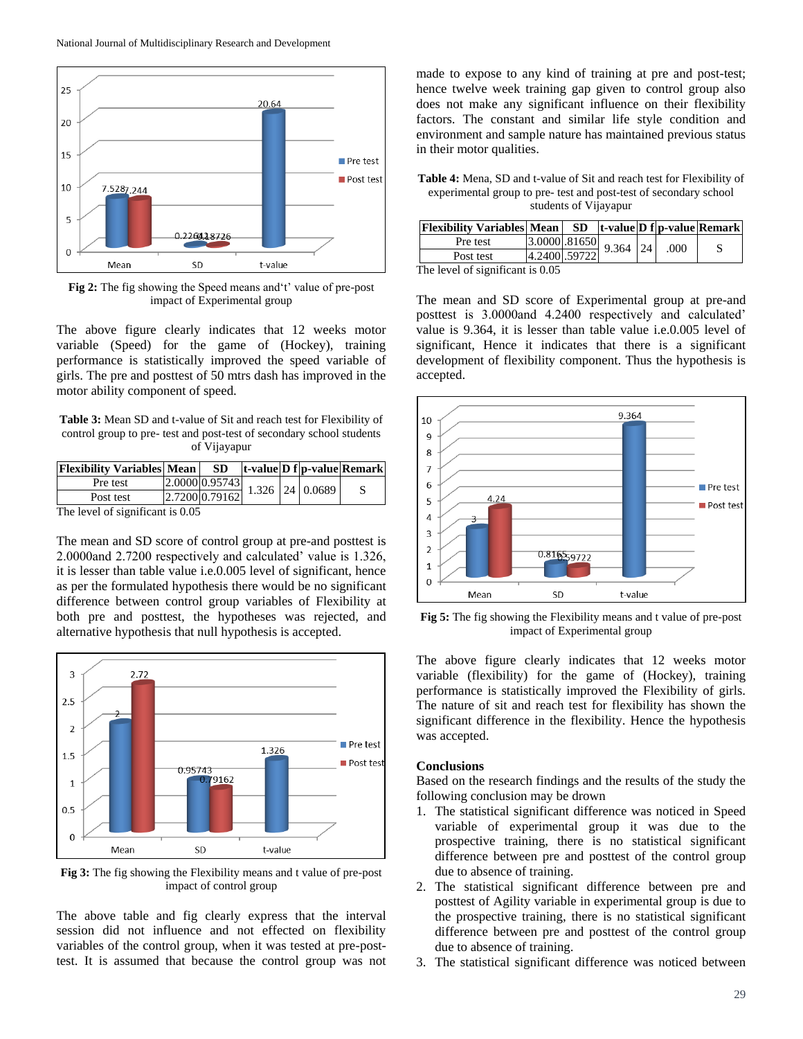

**Fig 2:** The fig showing the Speed means and't' value of pre-post impact of Experimental group

The above figure clearly indicates that 12 weeks motor variable (Speed) for the game of (Hockey), training performance is statistically improved the speed variable of girls. The pre and posttest of 50 mtrs dash has improved in the motor ability component of speed.

**Table 3:** Mean SD and t-value of Sit and reach test for Flexibility of control group to pre- test and post-test of secondary school students of Vijayapur

| <b>Flexibility Variables Mean</b> | SD.                                                                          |  | $\vert$ t-value $\vert$ D f $\vert$ p-value Remark |
|-----------------------------------|------------------------------------------------------------------------------|--|----------------------------------------------------|
| Pre test                          | $\left  \frac{2.000000.95743}{1.326} \right  1.326 \left  24 \right  0.0689$ |  |                                                    |
| Post test                         | 2.7200 0.79162                                                               |  |                                                    |
| The land of cianificant is $0.05$ |                                                                              |  |                                                    |

The level of significant is 0.05

The mean and SD score of control group at pre-and posttest is 2.0000and 2.7200 respectively and calculated' value is 1.326, it is lesser than table value i.e.0.005 level of significant, hence as per the formulated hypothesis there would be no significant difference between control group variables of Flexibility at both pre and posttest, the hypotheses was rejected, and alternative hypothesis that null hypothesis is accepted.



**Fig 3:** The fig showing the Flexibility means and t value of pre-post impact of control group

The above table and fig clearly express that the interval session did not influence and not effected on flexibility variables of the control group, when it was tested at pre-posttest. It is assumed that because the control group was not

made to expose to any kind of training at pre and post-test; hence twelve week training gap given to control group also does not make any significant influence on their flexibility factors. The constant and similar life style condition and environment and sample nature has maintained previous status in their motor qualities.

**Table 4:** Mena, SD and t-value of Sit and reach test for Flexibility of experimental group to pre- test and post-test of secondary school students of Vijayapur

| <b>Flexibility Variables Mean</b> SD t-value D f p-value Remark |  |  |                                               |  |  |  |
|-----------------------------------------------------------------|--|--|-----------------------------------------------|--|--|--|
| Pre test                                                        |  |  | $\frac{3.0000}{ 4.2400 .59722}$ 9.364 24 .000 |  |  |  |
| Post test                                                       |  |  |                                               |  |  |  |
| The lavel of cignificant is $0.05$                              |  |  |                                               |  |  |  |

The level of significant is 0.05

The mean and SD score of Experimental group at pre-and posttest is 3.0000and 4.2400 respectively and calculated' value is 9.364, it is lesser than table value i.e.0.005 level of significant, Hence it indicates that there is a significant development of flexibility component. Thus the hypothesis is accepted.



**Fig 5:** The fig showing the Flexibility means and t value of pre-post impact of Experimental group

The above figure clearly indicates that 12 weeks motor variable (flexibility) for the game of (Hockey), training performance is statistically improved the Flexibility of girls. The nature of sit and reach test for flexibility has shown the significant difference in the flexibility. Hence the hypothesis was accepted.

#### **Conclusions**

Based on the research findings and the results of the study the following conclusion may be drown

- 1. The statistical significant difference was noticed in Speed variable of experimental group it was due to the prospective training, there is no statistical significant difference between pre and posttest of the control group due to absence of training.
- 2. The statistical significant difference between pre and posttest of Agility variable in experimental group is due to the prospective training, there is no statistical significant difference between pre and posttest of the control group due to absence of training.
- 3. The statistical significant difference was noticed between